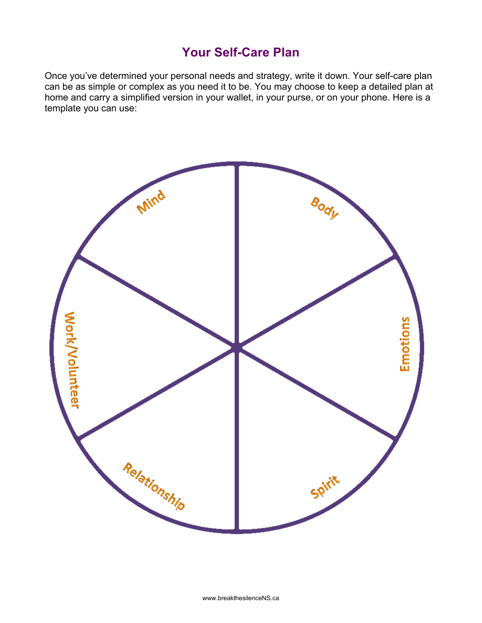## **Your Self-Care Plan**

Once you've determined your personal needs and strategy, write it down. Your self-care plan can be as simple or complex as you need it to be. You may choose to keep a detailed plan at home and carry a simplified version in your wallet, in your purse, or on your phone. Here is a template you can use: